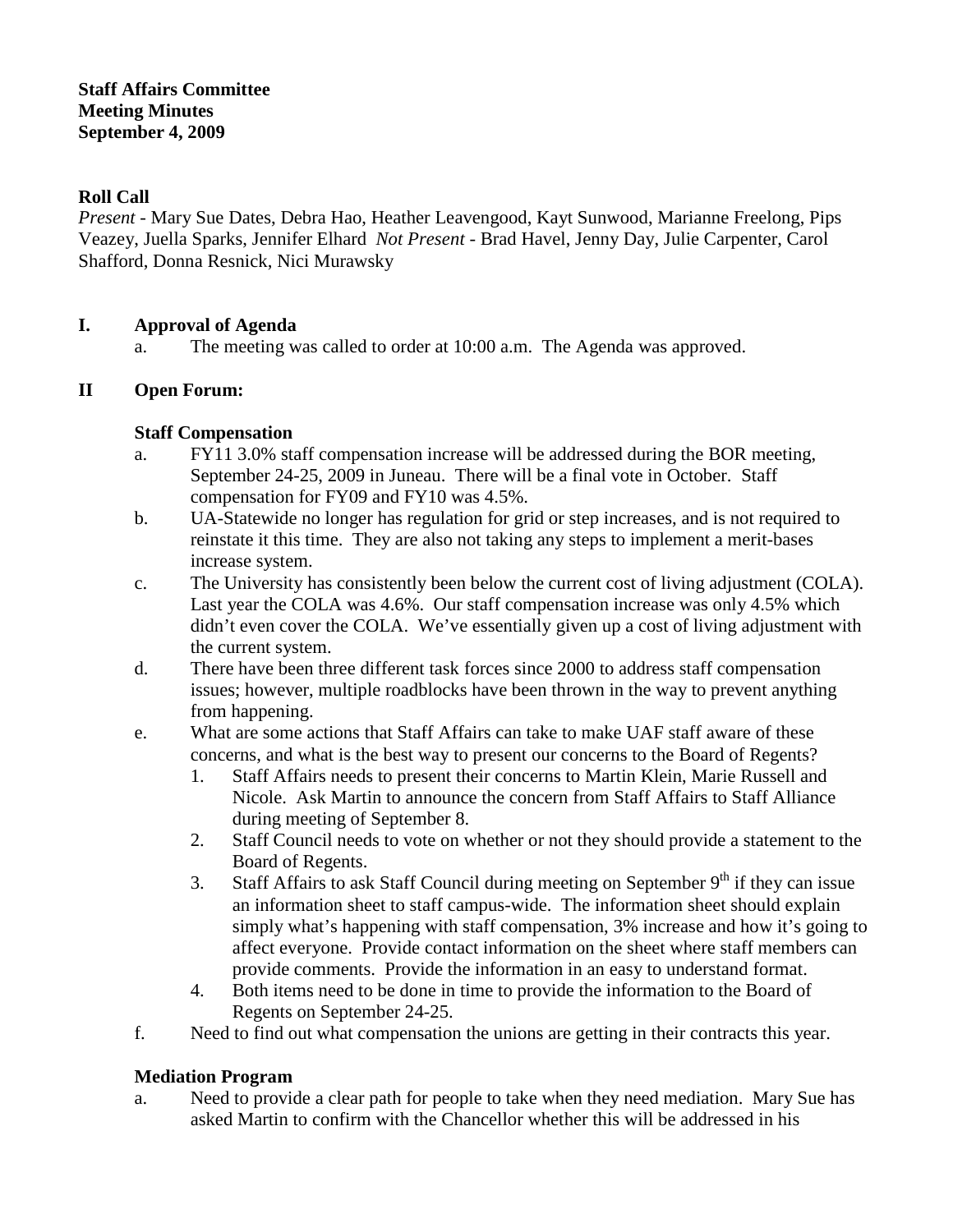#### **Roll Call**

*Present* - Mary Sue Dates, Debra Hao, Heather Leavengood, Kayt Sunwood, Marianne Freelong, Pips Veazey, Juella Sparks, Jennifer Elhard *Not Present* - Brad Havel, Jenny Day, Julie Carpenter, Carol Shafford, Donna Resnick, Nici Murawsky

## **I. Approval of Agenda**

a. The meeting was called to order at 10:00 a.m. The Agenda was approved.

## **II Open Forum:**

#### **Staff Compensation**

- a. FY11 3.0% staff compensation increase will be addressed during the BOR meeting, September 24-25, 2009 in Juneau. There will be a final vote in October. Staff compensation for FY09 and FY10 was 4.5%.
- b. UA-Statewide no longer has regulation for grid or step increases, and is not required to reinstate it this time. They are also not taking any steps to implement a merit-bases increase system.
- c. The University has consistently been below the current cost of living adjustment (COLA). Last year the COLA was 4.6%. Our staff compensation increase was only 4.5% which didn't even cover the COLA. We've essentially given up a cost of living adjustment with the current system.
- d. There have been three different task forces since 2000 to address staff compensation issues; however, multiple roadblocks have been thrown in the way to prevent anything from happening.
- e. What are some actions that Staff Affairs can take to make UAF staff aware of these concerns, and what is the best way to present our concerns to the Board of Regents?
	- 1. Staff Affairs needs to present their concerns to Martin Klein, Marie Russell and Nicole. Ask Martin to announce the concern from Staff Affairs to Staff Alliance during meeting of September 8.
	- 2. Staff Council needs to vote on whether or not they should provide a statement to the Board of Regents.
	- 3. Staff Affairs to ask Staff Council during meeting on September  $9<sup>th</sup>$  if they can issue an information sheet to staff campus-wide. The information sheet should explain simply what's happening with staff compensation, 3% increase and how it's going to affect everyone. Provide contact information on the sheet where staff members can provide comments. Provide the information in an easy to understand format.
	- 4. Both items need to be done in time to provide the information to the Board of Regents on September 24-25.
- f. Need to find out what compensation the unions are getting in their contracts this year.

#### **Mediation Program**

a. Need to provide a clear path for people to take when they need mediation. Mary Sue has asked Martin to confirm with the Chancellor whether this will be addressed in his